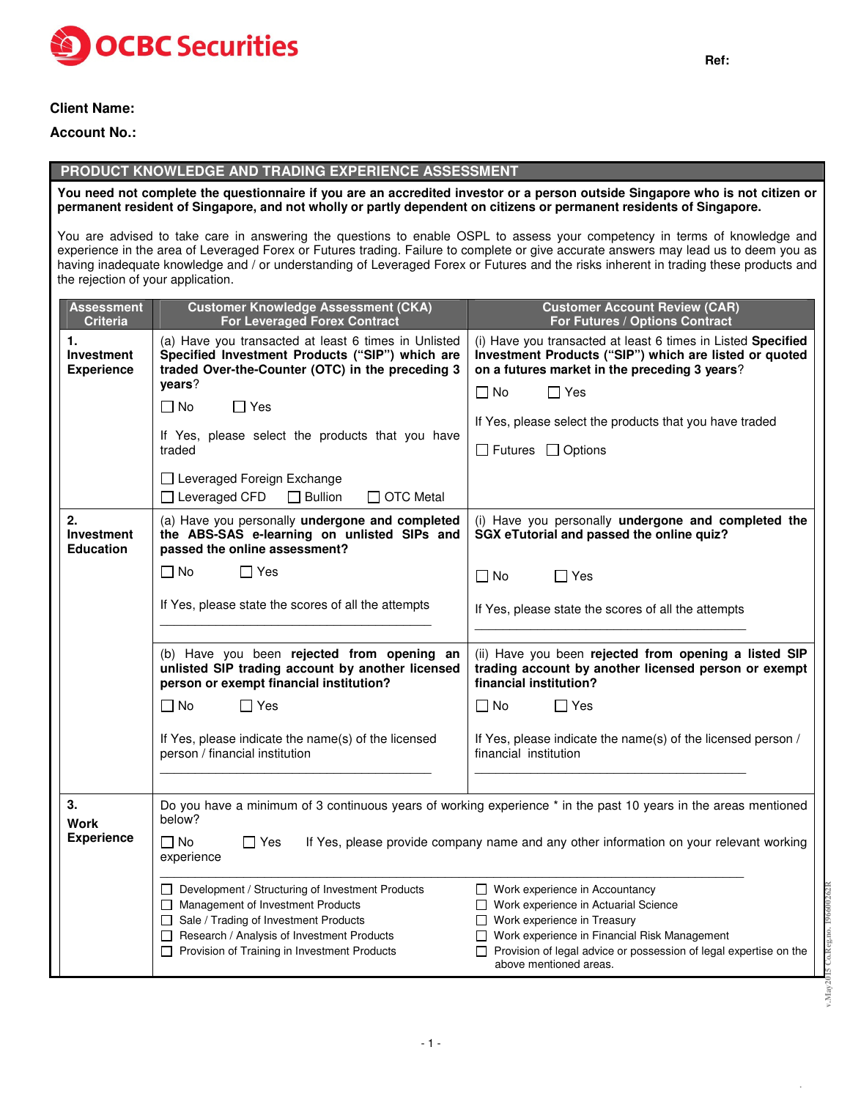

# **Client Name:**

## **Account No.:**

# **PRODUCT KNOWLEDGE AND TRADING EXPERIENCE ASSESSMENT**

You need not complete the questionnaire if you are an accredited investor or a person outside Singapore who is not citizen or permanent resident of Singapore, and not wholly or partly dependent on citizens or permanent residents of Singapore.

You are advised to take care in answering the questions to enable OSPL to assess your competency in terms of knowledge and experience in the area of Leveraged Forex or Futures trading. Failure to complete or give accurate answers may lead us to deem you as having inadequate knowledge and / or understanding of Leveraged Forex or Futures and the risks inherent in trading these products and the rejection of your application.

| Assessment<br><b>Criteria</b>               | <b>Customer Knowledge Assessment (CKA)</b><br><b>For Leveraged Forex Contract</b>                                                                                                                                                | <b>Customer Account Review (CAR)</b><br>For Futures / Options Contract                                                                                                                                                                                            |
|---------------------------------------------|----------------------------------------------------------------------------------------------------------------------------------------------------------------------------------------------------------------------------------|-------------------------------------------------------------------------------------------------------------------------------------------------------------------------------------------------------------------------------------------------------------------|
| 1.<br>Investment<br><b>Experience</b>       | (a) Have you transacted at least 6 times in Unlisted<br>Specified Investment Products ("SIP") which are<br>traded Over-the-Counter (OTC) in the preceding 3<br>vears?                                                            | (i) Have you transacted at least 6 times in Listed Specified<br>Investment Products ("SIP") which are listed or quoted<br>on a futures market in the preceding 3 years?                                                                                           |
|                                             | $\Box$ No<br>$\Box$ Yes                                                                                                                                                                                                          | $\Box$ No<br>$\Box$ Yes                                                                                                                                                                                                                                           |
|                                             |                                                                                                                                                                                                                                  | If Yes, please select the products that you have traded                                                                                                                                                                                                           |
|                                             | If Yes, please select the products that you have<br>traded                                                                                                                                                                       | $\Box$ Futures $\Box$ Options                                                                                                                                                                                                                                     |
|                                             | □ Leveraged Foreign Exchange                                                                                                                                                                                                     |                                                                                                                                                                                                                                                                   |
|                                             | $\Box$ Leveraged CFD<br>$\Box$ Bullion<br>$\Box$ OTC Metal                                                                                                                                                                       |                                                                                                                                                                                                                                                                   |
| 2.<br><b>Investment</b><br><b>Education</b> | (a) Have you personally undergone and completed<br>the ABS-SAS e-learning on unlisted SIPs and<br>passed the online assessment?                                                                                                  | (i) Have you personally undergone and completed the<br>SGX eTutorial and passed the online quiz?                                                                                                                                                                  |
|                                             | $\Box$ No<br>$\Box$ Yes                                                                                                                                                                                                          | $\Box$ No<br>$\Box$ Yes                                                                                                                                                                                                                                           |
|                                             | If Yes, please state the scores of all the attempts                                                                                                                                                                              | If Yes, please state the scores of all the attempts                                                                                                                                                                                                               |
|                                             |                                                                                                                                                                                                                                  |                                                                                                                                                                                                                                                                   |
|                                             | (b) Have you been rejected from opening an<br>unlisted SIP trading account by another licensed<br>person or exempt financial institution?                                                                                        | (ii) Have you been rejected from opening a listed SIP<br>trading account by another licensed person or exempt<br>financial institution?                                                                                                                           |
|                                             | $\Box$ No<br>$\Box$ Yes                                                                                                                                                                                                          | $\Box$ No<br>$\Box$ Yes                                                                                                                                                                                                                                           |
|                                             | If Yes, please indicate the name(s) of the licensed<br>person / financial institution                                                                                                                                            | If Yes, please indicate the name(s) of the licensed person /<br>financial institution                                                                                                                                                                             |
|                                             |                                                                                                                                                                                                                                  |                                                                                                                                                                                                                                                                   |
| 3.<br>below?<br><b>Work</b>                 |                                                                                                                                                                                                                                  | Do you have a minimum of 3 continuous years of working experience * in the past 10 years in the areas mentioned                                                                                                                                                   |
| <b>Experience</b>                           | $\Box$ No<br>$\Box$ Yes<br>If Yes, please provide company name and any other information on your relevant working<br>experience                                                                                                  |                                                                                                                                                                                                                                                                   |
|                                             | □ Development / Structuring of Investment Products<br>Management of Investment Products<br>□ Sale / Trading of Investment Products<br>Research / Analysis of Investment Products<br>Provision of Training in Investment Products | □ Work experience in Accountancy<br>Work experience in Actuarial Science<br>$\Box$ Work experience in Treasury<br>□ Work experience in Financial Risk Management<br>□ Provision of legal advice or possession of legal expertise on the<br>above mentioned areas. |

- 1 -

**v.May2015 Co.Reg.no. 196600262R**

 $v.May2$